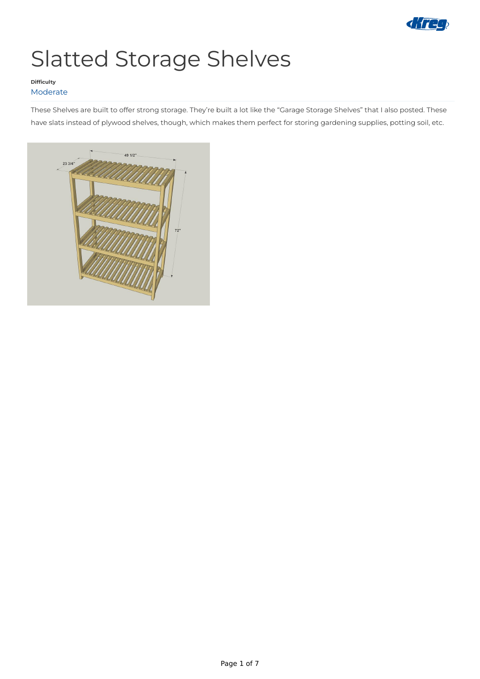

# Slatted Storage Shelves

These Shelves are built to offer strong storage. They're built a lot like the "Garage Storage Shelves" that I also posted. These have slats instead of plywood shelves, though, which makes them perfect for storing gardening supplies, potting soil, etc.



### **Difficulty** Moderate

Page 1 of 7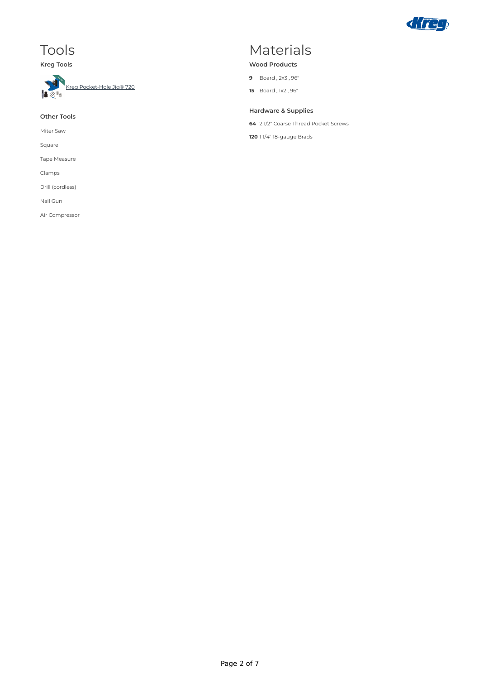

### Tools

**Kreg Tools**



#### **Other Tools**

Miter Saw

Square

Tape Measure

Clamps

Drill (cordless)

Nail Gun

Air Compressor

### Materials

#### **Wood Products**

- **9** Board , 2x3 , 96"
- **15** Board , 1x2 , 96"

### **Hardware & Supplies**

**64** 2 1/2" Coarse Thread Pocket Screws

**120** 1 1/4" 18-gauge Brads

Page 2 of 7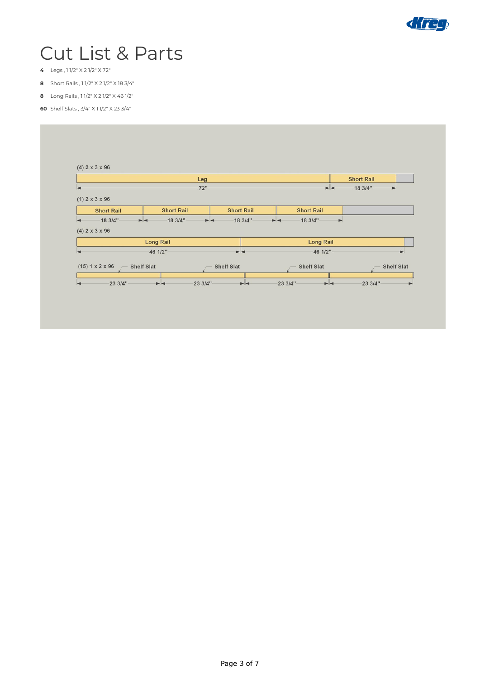

## Cut List & Parts

- Legs , 1 1/2" X 2 1/2" X 72"
- Short Rails , 1 1/2" X 2 1/2" X 18 3/4"
- Long Rails , 1 1/2" X 2 1/2" X 46 1/2"
- Shelf Slats , 3/4" X 1 1/2" X 23 3/4"

|                                                                                                |                                                         | Leg                                                     |                                                      | <b>Short Rail</b>               |
|------------------------------------------------------------------------------------------------|---------------------------------------------------------|---------------------------------------------------------|------------------------------------------------------|---------------------------------|
|                                                                                                |                                                         | 72"                                                     | $\blacktriangleright$ 4                              | 183/4"<br>$\blacktriangleright$ |
| $(1)$ 2 x 3 x 96<br><b>Short Rail</b><br>$-183/4"$<br>$\blacktriangleleft$<br>$(4)$ 2 x 3 x 96 | <b>Short Rail</b><br>$-183/4"$<br>$\blacktriangleright$ | <b>Short Rail</b><br>$-183/4"$<br>$\blacktriangleright$ | <b>Short Rail</b><br>183/4"<br>$\blacktriangleright$ | $\blacktriangleright$           |
|                                                                                                | <b>Long Rail</b>                                        |                                                         | <b>Long Rail</b>                                     |                                 |
|                                                                                                |                                                         |                                                         |                                                      |                                 |

Page 3 of 7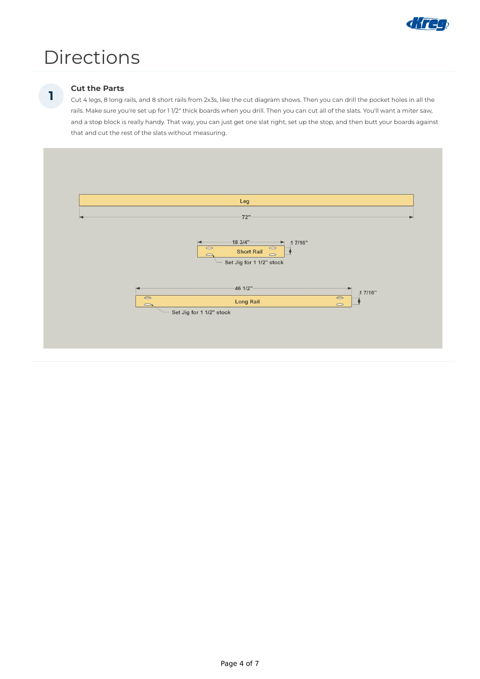

## Directions

### **Cut the Parts**

Cut 4 legs, 8 long rails, and 8 short rails from 2x3s, like the cut diagram shows. Then you can drill the pocket holes in all the rails. Make sure you're set up for 1 1/2" thick boards when you drill. Then you can cut all of the slats. You'll want a miter saw, and a stop block is really handy. That way, you can just get one slat right, set up the stop, and then butt your boards against that and cut the rest of the slats without measuring.



**1**

Page 4 of 7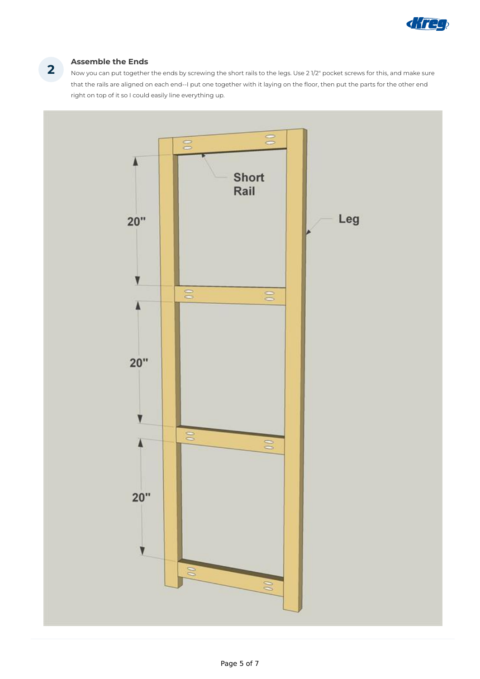

### **Assemble the Ends**

Now you can put together the ends by screwing the short rails to the legs. Use 2 1/2" pocket screws for this, and make sure that the rails are aligned on each end--I put one together with it laying on the floor, then put the parts for the other end right on top of it so I could easily line everything up.



**2**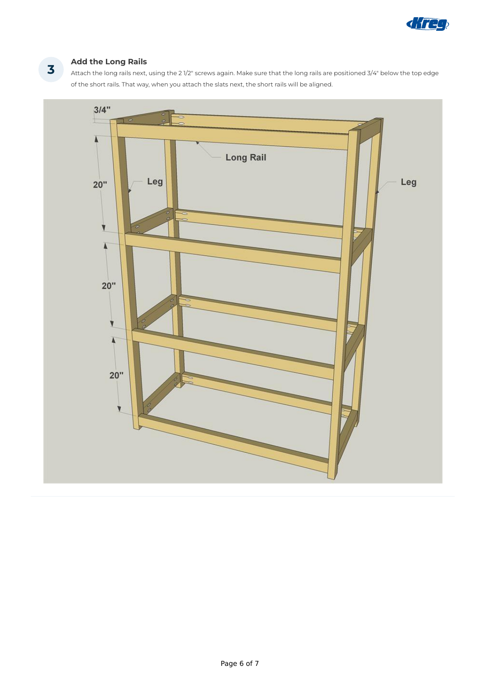![](_page_5_Picture_0.jpeg)

### **Add the Long Rails**

Attach the long rails next, using the 2 1/2" screws again. Make sure that the long rails are positioned 3/4" below the top edge of the short rails. That way, when you attach the slats next, the short rails will be aligned.

![](_page_5_Figure_3.jpeg)

**3**

Page 6 of 7